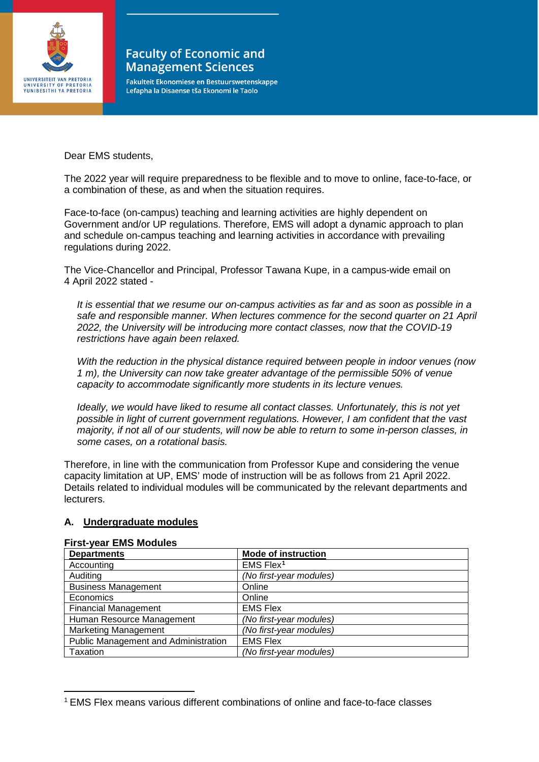

# **Faculty of Economic and Management Sciences**

Fakulteit Ekonomiese en Bestuurswetenskappe Lefapha la Disaense tša Ekonomi le Taolo

Dear EMS students,

The 2022 year will require preparedness to be flexible and to move to online, face-to-face, or a combination of these, as and when the situation requires.

Face-to-face (on-campus) teaching and learning activities are highly dependent on Government and/or UP regulations. Therefore, EMS will adopt a dynamic approach to plan and schedule on-campus teaching and learning activities in accordance with prevailing regulations during 2022.

The Vice-Chancellor and Principal, Professor Tawana Kupe, in a campus-wide email on 4 April 2022 stated -

*It is essential that we resume our on-campus activities as far and as soon as possible in a safe and responsible manner. When lectures commence for the second quarter on 21 April 2022, the University will be introducing more contact classes, now that the COVID-19 restrictions have again been relaxed.*

*With the reduction in the physical distance required between people in indoor venues (now 1 m), the University can now take greater advantage of the permissible 50% of venue capacity to accommodate significantly more students in its lecture venues.* 

*Ideally, we would have liked to resume all contact classes. Unfortunately, this is not yet possible in light of current government regulations. However, I am confident that the vast majority, if not all of our students, will now be able to return to some in-person classes, in some cases, on a rotational basis.*

Therefore, in line with the communication from Professor Kupe and considering the venue capacity limitation at UP, EMS' mode of instruction will be as follows from 21 April 2022. Details related to individual modules will be communicated by the relevant departments and lecturers.

## **A. Undergraduate modules**

#### **First-year EMS Modules**

-

| <b>Departments</b>                          | <b>Mode of instruction</b> |
|---------------------------------------------|----------------------------|
| Accounting                                  | $EMS$ Flex <sup>1</sup>    |
| Auditing                                    | (No first-year modules)    |
| <b>Business Management</b>                  | Online                     |
| Economics                                   | Online                     |
| <b>Financial Management</b>                 | <b>EMS Flex</b>            |
| Human Resource Management                   | (No first-year modules)    |
| <b>Marketing Management</b>                 | (No first-year modules)    |
| <b>Public Management and Administration</b> | <b>EMS Flex</b>            |
| Taxation                                    | (No first-year modules)    |

<span id="page-0-0"></span><sup>1</sup> EMS Flex means various different combinations of online and face-to-face classes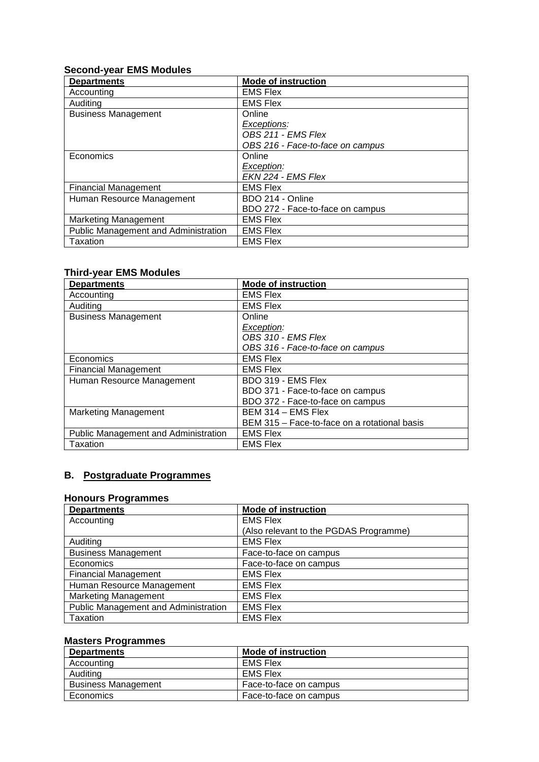### **Second-year EMS Modules**

| <b>Departments</b>                   | <b>Mode of instruction</b>       |
|--------------------------------------|----------------------------------|
| Accounting                           | <b>EMS Flex</b>                  |
| Auditing                             | <b>EMS Flex</b>                  |
| <b>Business Management</b>           | Online                           |
|                                      | Exceptions:                      |
|                                      | OBS 211 - EMS Flex               |
|                                      | OBS 216 - Face-to-face on campus |
| Economics                            | Online                           |
|                                      | Exception:                       |
|                                      | EKN 224 - EMS Flex               |
| <b>Financial Management</b>          | <b>EMS Flex</b>                  |
| Human Resource Management            | BDO 214 - Online                 |
|                                      | BDO 272 - Face-to-face on campus |
| <b>Marketing Management</b>          | <b>EMS Flex</b>                  |
| Public Management and Administration | <b>EMS Flex</b>                  |
| <b>Taxation</b>                      | <b>EMS Flex</b>                  |

### **Third-year EMS Modules**

| <b>Departments</b>                          | <b>Mode of instruction</b>                   |
|---------------------------------------------|----------------------------------------------|
| Accounting                                  | <b>EMS Flex</b>                              |
| Auditing                                    | <b>EMS Flex</b>                              |
| <b>Business Management</b>                  | Online                                       |
|                                             | Exception:                                   |
|                                             | OBS 310 - EMS Flex                           |
|                                             | OBS 316 - Face-to-face on campus             |
| Economics                                   | <b>EMS Flex</b>                              |
| <b>Financial Management</b>                 | <b>EMS Flex</b>                              |
| Human Resource Management                   | BDO 319 - EMS Flex                           |
|                                             | BDO 371 - Face-to-face on campus             |
|                                             | BDO 372 - Face-to-face on campus             |
| <b>Marketing Management</b>                 | $BEM 314 - EMS$ Flex                         |
|                                             | BEM 315 - Face-to-face on a rotational basis |
| <b>Public Management and Administration</b> | <b>EMS Flex</b>                              |
| Taxation                                    | <b>EMS Flex</b>                              |

# **B. Postgraduate Programmes**

### **Honours Programmes**

| <b>Departments</b>                          | <b>Mode of instruction</b>             |
|---------------------------------------------|----------------------------------------|
| Accounting                                  | <b>EMS Flex</b>                        |
|                                             | (Also relevant to the PGDAS Programme) |
| Auditing                                    | <b>EMS Flex</b>                        |
| <b>Business Management</b>                  | Face-to-face on campus                 |
| Economics                                   | Face-to-face on campus                 |
| <b>Financial Management</b>                 | <b>EMS Flex</b>                        |
| Human Resource Management                   | <b>EMS Flex</b>                        |
| <b>Marketing Management</b>                 | <b>EMS Flex</b>                        |
| <b>Public Management and Administration</b> | <b>EMS Flex</b>                        |
| Taxation                                    | <b>EMS Flex</b>                        |

## **Masters Programmes**

| <b>Departments</b>         | <b>Mode of instruction</b> |
|----------------------------|----------------------------|
| Accounting                 | <b>EMS Flex</b>            |
| Auditing                   | <b>EMS Flex</b>            |
| <b>Business Management</b> | Face-to-face on campus     |
| Economics                  | Face-to-face on campus     |